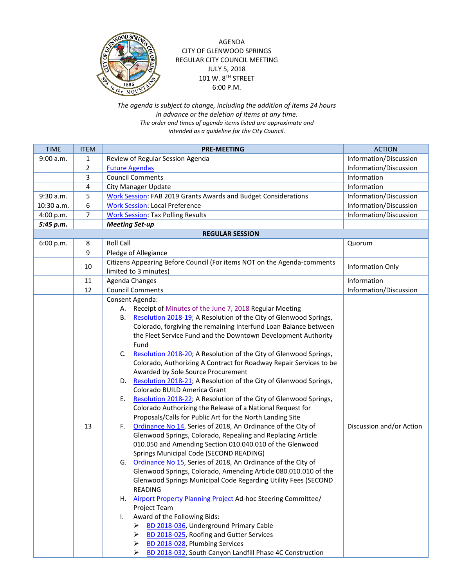

## AGENDA CITY OF GLENWOOD SPRINGS REGULAR CITY COUNCIL MEETING JULY 5, 2018 101 W. 8TH STREET 6:00 P.M.

## *The agenda is subject to change, including the addition of items 24 hours in advance or the deletion of items at any time. The order and times of agenda items listed are approximate and intended as a guideline for the City Council.*

| <b>TIME</b>            | <b>ITEM</b>    | <b>PRE-MEETING</b>                                                                                                                                                                                                                                                                                                                                                                                                                                                                                                                                                                                                                                                                                                                                                                                                                                                                                                                                                                                                                                                                                                                                                                                                                                                                                                                                                                                                                                                                                                                                                                                                   | <b>ACTION</b>            |  |
|------------------------|----------------|----------------------------------------------------------------------------------------------------------------------------------------------------------------------------------------------------------------------------------------------------------------------------------------------------------------------------------------------------------------------------------------------------------------------------------------------------------------------------------------------------------------------------------------------------------------------------------------------------------------------------------------------------------------------------------------------------------------------------------------------------------------------------------------------------------------------------------------------------------------------------------------------------------------------------------------------------------------------------------------------------------------------------------------------------------------------------------------------------------------------------------------------------------------------------------------------------------------------------------------------------------------------------------------------------------------------------------------------------------------------------------------------------------------------------------------------------------------------------------------------------------------------------------------------------------------------------------------------------------------------|--------------------------|--|
| 9:00 a.m.              | 1              | Review of Regular Session Agenda                                                                                                                                                                                                                                                                                                                                                                                                                                                                                                                                                                                                                                                                                                                                                                                                                                                                                                                                                                                                                                                                                                                                                                                                                                                                                                                                                                                                                                                                                                                                                                                     | Information/Discussion   |  |
|                        | $\overline{2}$ | <b>Future Agendas</b>                                                                                                                                                                                                                                                                                                                                                                                                                                                                                                                                                                                                                                                                                                                                                                                                                                                                                                                                                                                                                                                                                                                                                                                                                                                                                                                                                                                                                                                                                                                                                                                                | Information/Discussion   |  |
|                        | 3              | <b>Council Comments</b>                                                                                                                                                                                                                                                                                                                                                                                                                                                                                                                                                                                                                                                                                                                                                                                                                                                                                                                                                                                                                                                                                                                                                                                                                                                                                                                                                                                                                                                                                                                                                                                              | Information              |  |
|                        | 4              | City Manager Update                                                                                                                                                                                                                                                                                                                                                                                                                                                                                                                                                                                                                                                                                                                                                                                                                                                                                                                                                                                                                                                                                                                                                                                                                                                                                                                                                                                                                                                                                                                                                                                                  | Information              |  |
| 9:30 a.m.              | 5              | <b>Work Session: FAB 2019 Grants Awards and Budget Considerations</b>                                                                                                                                                                                                                                                                                                                                                                                                                                                                                                                                                                                                                                                                                                                                                                                                                                                                                                                                                                                                                                                                                                                                                                                                                                                                                                                                                                                                                                                                                                                                                | Information/Discussion   |  |
| 10:30 a.m.             | 6              | <b>Work Session: Local Preference</b>                                                                                                                                                                                                                                                                                                                                                                                                                                                                                                                                                                                                                                                                                                                                                                                                                                                                                                                                                                                                                                                                                                                                                                                                                                                                                                                                                                                                                                                                                                                                                                                | Information/Discussion   |  |
| 4:00 p.m.              | 7              | <b>Work Session: Tax Polling Results</b>                                                                                                                                                                                                                                                                                                                                                                                                                                                                                                                                                                                                                                                                                                                                                                                                                                                                                                                                                                                                                                                                                                                                                                                                                                                                                                                                                                                                                                                                                                                                                                             | Information/Discussion   |  |
| 5:45 p.m.              |                | <b>Meeting Set-up</b>                                                                                                                                                                                                                                                                                                                                                                                                                                                                                                                                                                                                                                                                                                                                                                                                                                                                                                                                                                                                                                                                                                                                                                                                                                                                                                                                                                                                                                                                                                                                                                                                |                          |  |
| <b>REGULAR SESSION</b> |                |                                                                                                                                                                                                                                                                                                                                                                                                                                                                                                                                                                                                                                                                                                                                                                                                                                                                                                                                                                                                                                                                                                                                                                                                                                                                                                                                                                                                                                                                                                                                                                                                                      |                          |  |
| 6:00 p.m.              | 8              | <b>Roll Call</b>                                                                                                                                                                                                                                                                                                                                                                                                                                                                                                                                                                                                                                                                                                                                                                                                                                                                                                                                                                                                                                                                                                                                                                                                                                                                                                                                                                                                                                                                                                                                                                                                     | Quorum                   |  |
|                        | 9              | Pledge of Allegiance                                                                                                                                                                                                                                                                                                                                                                                                                                                                                                                                                                                                                                                                                                                                                                                                                                                                                                                                                                                                                                                                                                                                                                                                                                                                                                                                                                                                                                                                                                                                                                                                 |                          |  |
|                        | 10             | Citizens Appearing Before Council (For items NOT on the Agenda-comments                                                                                                                                                                                                                                                                                                                                                                                                                                                                                                                                                                                                                                                                                                                                                                                                                                                                                                                                                                                                                                                                                                                                                                                                                                                                                                                                                                                                                                                                                                                                              | Information Only         |  |
|                        |                | limited to 3 minutes)                                                                                                                                                                                                                                                                                                                                                                                                                                                                                                                                                                                                                                                                                                                                                                                                                                                                                                                                                                                                                                                                                                                                                                                                                                                                                                                                                                                                                                                                                                                                                                                                |                          |  |
|                        | 11             | Agenda Changes                                                                                                                                                                                                                                                                                                                                                                                                                                                                                                                                                                                                                                                                                                                                                                                                                                                                                                                                                                                                                                                                                                                                                                                                                                                                                                                                                                                                                                                                                                                                                                                                       | Information              |  |
|                        | 12             | <b>Council Comments</b>                                                                                                                                                                                                                                                                                                                                                                                                                                                                                                                                                                                                                                                                                                                                                                                                                                                                                                                                                                                                                                                                                                                                                                                                                                                                                                                                                                                                                                                                                                                                                                                              | Information/Discussion   |  |
|                        | 13             | Consent Agenda:<br>Receipt of Minutes of the June 7, 2018 Regular Meeting<br>А.<br>Resolution 2018-19; A Resolution of the City of Glenwood Springs,<br>В.<br>Colorado, forgiving the remaining Interfund Loan Balance between<br>the Fleet Service Fund and the Downtown Development Authority<br>Fund<br>Resolution 2018-20; A Resolution of the City of Glenwood Springs,<br>C.<br>Colorado, Authorizing A Contract for Roadway Repair Services to be<br>Awarded by Sole Source Procurement<br>Resolution 2018-21; A Resolution of the City of Glenwood Springs,<br>D.<br>Colorado BUILD America Grant<br>Resolution 2018-22; A Resolution of the City of Glenwood Springs,<br>Ε.<br>Colorado Authorizing the Release of a National Request for<br>Proposals/Calls for Public Art for the North Landing Site<br>Ordinance No 14, Series of 2018, An Ordinance of the City of<br>F.<br>Glenwood Springs, Colorado, Repealing and Replacing Article<br>010.050 and Amending Section 010.040.010 of the Glenwood<br>Springs Municipal Code (SECOND READING)<br>Ordinance No 15, Series of 2018, An Ordinance of the City of<br>G.<br>Glenwood Springs, Colorado, Amending Article 080.010.010 of the<br>Glenwood Springs Municipal Code Regarding Utility Fees (SECOND<br><b>READING</b><br>H. Airport Property Planning Project Ad-hoc Steering Committee/<br>Project Team<br>Award of the Following Bids:<br>I.<br>BD 2018-036, Underground Primary Cable<br>BD 2018-025, Roofing and Gutter Services<br>➤<br>BD 2018-028, Plumbing Services<br>➤<br>BD 2018-032, South Canyon Landfill Phase 4C Construction<br>➤ | Discussion and/or Action |  |